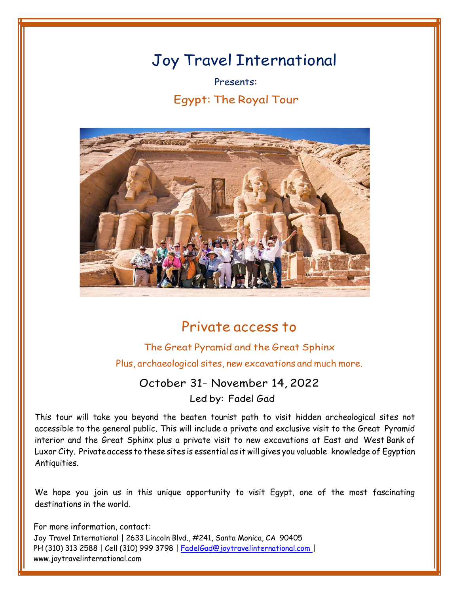# Joy Travel International

Presents: Egypt: The Royal Tour



# Private access to

# The Great Pyramid and the Great Sphinx Plus, archaeological sites, new excavations and much more.

## October 31- November 14, 2022

Led by: Fadel Gad

This tour will take you beyond the beaten tourist path to visit hidden archeological sites not accessible to the general public. This will include a private and exclusive visit to the Great Pyramid interior and the Great Sphinx plus a private visit to new excavations at East and West Bank of Luxor City. Private access to these sites is essential as it will gives you valuable knowledge of Egyptian Antiquities.

We hope you join us in this unique opportunity to visit Egypt, one of the most fascinating destinations in the world.

For more information, contact: Joy Travel International | 2633 Lincoln Blvd., #241, Santa Monica, CA 90405 PH (310) 313 2588 | Cell (310) 999 3798 | [FadelGad@joytravelinternational.com](mailto:FadelGad@joytravelinternational.com) | [www.joytravelinternational.com](http://www.joytravelinternational.com/)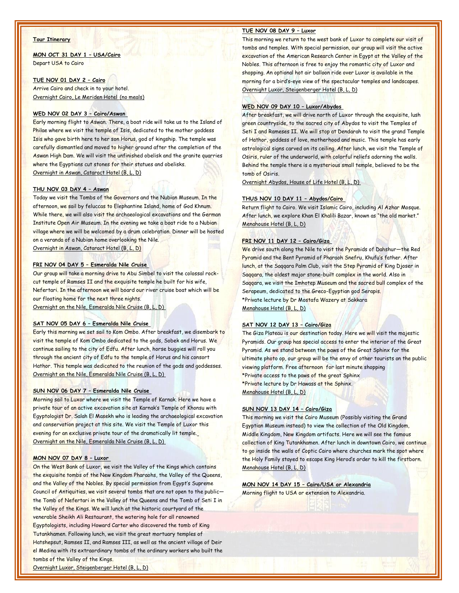#### **Tour Itinerary**

**MON OCT 31 DAY 1 – USA/Cairo** Depart USA to Cairo

#### **TUE NOV 01 DAY 2 – Cairo**

Arrive Cairo and check in to your hotel. Overnight Cairo, Le Meriden Hotel (no meals)

#### **WED NOV 02 DAY 3 – Cairo/Aswan**

Early morning flight to Aswan. There, a boat ride will take us to the Island of Philae where we visit the temple of Isis, dedicated to the mother goddess Isis who gave birth here to her son Horus, god of kingship. The temple was carefully dismantled and moved to higher ground after the completion of the Aswan High Dam. We will visit the unfinished obelisk and the granite quarries where the Egyptians cut stones for their statues and obelisks. Overnight in Aswan, Cataract Hotel (B, L, D)

#### **THU NOV 03 DAY 4 – Aswan**

Today we visit the Tombs of the Governors and the Nubian Museum. In the afternoon, we sail by feluccas to Elephantine Island, home of God Khnum. While there, we will also visit the archaeological excavations and the German Institute Open Air Museum. In the evening we take a boat ride to a Nubian village where we will be welcomed by a drum celebration. Dinner will be hosted on a veranda of a Nubian home overlooking the Nile. Overnight in Aswan, Cataract Hotel (B, L, D)

#### **FRI NOV 04 DAY 5 – Esmeralda Nile Cruise**

Our group will take a morning drive to Abu Simbel to visit the colossal rockcut temple of Ramses II and the exquisite temple he built for his wife, Nefertari. In the afternoon we will board our river cruise boat which will be our floating home for the next three nights. Overnight on the Nile, Esmeralda Nile Cruise (B, L, D)

#### **SAT NOV 05 DAY 6 – Esmeralda Nile Cruise**

Early this morning we set sail to Kom Ombo. After breakfast, we disembark to visit the temple of Kom Ombo dedicated to the gods, Sobek and Horus. We continue sailing to the city of Edfu. After lunch, horse buggies will roll you through the ancient city of Edfu to the temple of Horus and his consort Hathor. This temple was dedicated to the reunion of the gods and goddesses. Overnight on the Nile, Esmeralda Nile Cruise (B, L, D)

#### **SUN NOV 06 DAY 7 – Esmeralda Nile Cruise**

Morning sail to Luxor where we visit the Temple of Karnak. Here we have a private tour of an active excavation site at Karnak's Temple of Khonsu with Egyptologist Dr. Salah El Masekh who is leading the archaeological excavation and conservation project at this site. We visit the Temple of Luxor this evening for an exclusive private tour of the dramatically lit temple. Overnight on the Nile, Esmeralda Nile Cruise (B, L, D)

#### **MON NOV 07 DAY 8 – Luxor**

On the West Bank of Luxor, we visit the Valley of the Kings which contains the exquisite tombs of the New Kingdom Pharaohs, the Valley of the Queens, and the Valley of the Nobles. By special permission from Egypt's Supreme Council of Antiquities, we visit several tombs that are not open to the public the Tomb of Nefertari in the Valley of the Queens and the Tomb of Seti I in the Valley of the Kings. We will lunch at the historic courtyard of the venerable Sheikh Ali Restaurant, the watering hole for all renowned Egyptologists, including Howard Carter who discovered the tomb of King Tutankhamen. Following lunch, we visit the great mortuary temples of Hatshepsut, Ramses II, and Ramses III, as well as the ancient village of Deir el Medina with its extraordinary tombs of the ordinary workers who built the tombs of the Valley of the Kings.

#### **TUE NOV 08 DAY 9 – Luxor**

This morning we return to the west bank of Luxor to complete our visit of tombs and temples. With special permission, our group will visit the active excavation of the American Research Center in Egypt at the Valley of the Nobles. This afternoon is free to enjoy the romantic city of Luxor and shopping. An optional hot air balloon ride over Luxor is available in the morning for a bird's-eye view of the spectacular temples and landscapes. Overnight Luxor, Steigenberger Hotel (B, L, D)

#### **WED NOV 09 DAY 10 – Luxor/Abydos**

After breakfast, we will drive north of Luxor through the exquisite, lush green countryside, to the sacred city of Abydos to visit the Temples of Seti I and Rameses II. We will stop at Dendarah to visit the grand Temple of Hathor, goddess of love, motherhood and music. This temple has early astrological signs carved on its ceiling. After lunch, we visit the Temple of Osiris, ruler of the underworld, with colorful reliefs adorning the walls. Behind the temple there is a mysterious small temple, believed to be the tomb of Osiris.

Overnight Abydos, House of Life Hotel (B, L, D)

#### **THUS NOV 10 DAY 11 – Abydos/Cairo**

Return flight to Cairo. We visit Islamic Cairo, including Al Azhar Mosque. After lunch, we explore Khan El Khalili Bazar, known as "the old market." Menahouse Hotel (B, L, D)

#### **FRI NOV 11 DAY 12 – Cairo/Giza**

We drive south along the Nile to visit the Pyramids of Dahshur—the Red Pyramid and the Bent Pyramid of Pharaoh Snefru, Khufu's father. After lunch, at the Saqqara Palm Club, visit the Step Pyramid of King Djoser in Saqqara, the oldest major stone-built complex in the world. Also in Saqqara, we visit the Imhotep Museum and the sacred bull complex of the Serapeum, dedicated to the Greco-Egyptian god Serapis. \*Private lecture by Dr Mostafa Wazery at Sakkara Menahouse Hotel (B, L, D)

#### **SAT NOV 12 DAY 13 – Cairo/Giza**

The Giza Plateau is our destination today. Here we will visit the majestic Pyramids. Our group has special access to enter the interior of the Great Pyramid. As we stand between the paws of the Great Sphinx for the ultimate photo op, our group will be the envy of other tourists on the public viewing platform. Free afternoon for last minute shopping \*Private access to the paws of the great Sphinx \*Private lecture by Dr Hawass at the Sphinx. Menahouse Hotel (B, L, D)

#### **SUN NOV 13 DAY 14 – Cairo/Giza**

This morning we visit the Cairo Museum (Possibly visiting the Grand Egyptian Museum instead) to view the collection of the Old Kingdom, Middle Kingdom, New Kingdom artifacts. Here we will see the famous collection of King Tutankhamen. After lunch in downtown Cairo, we continue to go inside the walls of Coptic Cairo where churches mark the spot where the Holy Family stayed to escape King Herod's order to kill the firstborn. Menahouse Hotel (B, L, D)

**MON NOV 14 DAY 15 – Cairo/USA or Alexandria** Morning flight to USA or extension to Alexandria.

Overnight Luxor, Steigenberger Hotel (B, L, D)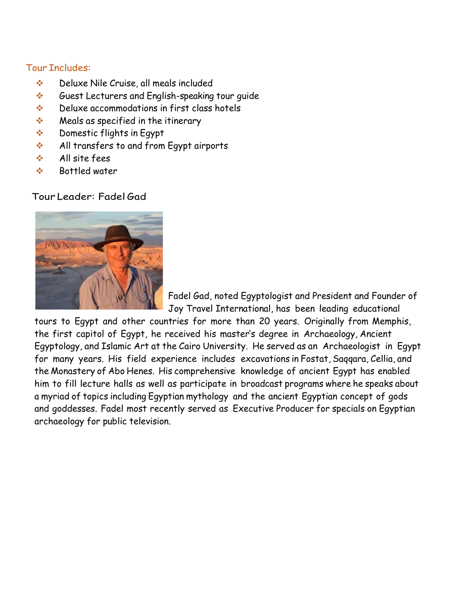### Tour Includes:

- ❖ Deluxe Nile Cruise, all meals included
- ❖ Guest Lecturers and English-speaking tour guide
- ❖ Deluxe accommodations in first class hotels
- ❖ Meals as specified in the itinerary
- ❖ Domestic flights in Egypt
- ❖ All transfers to and from Egypt airports
- ❖ All site fees
- ❖ Bottled water

### Tour Leader: Fadel Gad



Fadel Gad, noted Egyptologist and President and Founder of Joy Travel International, has been leading educational

tours to Egypt and other countries for more than 20 years. Originally from Memphis, the first capitol of Egypt, he received his master's degree in Archaeology, Ancient Egyptology, and Islamic Art at the Cairo University. He served as an Archaeologist in Egypt for many years. His field experience includes excavations in Fostat, Saqqara, Cellia, and the Monastery of Abo Henes. His comprehensive knowledge of ancient Egypt has enabled him to fill lecture halls as well as participate in broadcast programs where he speaks about a myriad of topics including Egyptian mythology and the ancient Egyptian concept of gods and goddesses. Fadel most recently served as Executive Producer for specials on Egyptian archaeology for public television.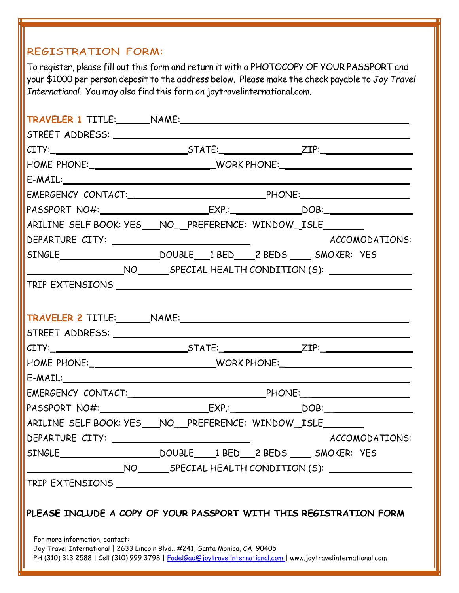# REGISTRATION FORM:

To register, please fill out this form and return it with a PHOTOCOPY OF YOUR PASSPORT and your \$1000 per person deposit to the address below. Please make the check payable to *Joy Travel International*. You may also find this form on joytravelinternational.com.

| $CITY:$ $ZIP:$ $ZIP:$ $ZIP:$                                                                         |                                                           |  |                |
|------------------------------------------------------------------------------------------------------|-----------------------------------------------------------|--|----------------|
|                                                                                                      |                                                           |  |                |
|                                                                                                      |                                                           |  |                |
|                                                                                                      |                                                           |  |                |
|                                                                                                      |                                                           |  |                |
| ARILINE SELF BOOK: YES___NO__PREFERENCE: WINDOW_ISLE______                                           |                                                           |  |                |
|                                                                                                      |                                                           |  | ACCOMODATIONS: |
|                                                                                                      |                                                           |  |                |
|                                                                                                      |                                                           |  |                |
|                                                                                                      |                                                           |  |                |
|                                                                                                      |                                                           |  |                |
| TRAVELER 2 TITLE: NAME: NAME:                                                                        |                                                           |  |                |
|                                                                                                      |                                                           |  |                |
|                                                                                                      |                                                           |  |                |
|                                                                                                      |                                                           |  |                |
| HOME PHONE:___________________________________WORK PHONE:_______________________                     |                                                           |  |                |
| $E\text{-}{\sf MALL:}\_\_\_\_\_\_\_\_\_\_\_\_\_\_$                                                   |                                                           |  |                |
|                                                                                                      |                                                           |  |                |
|                                                                                                      |                                                           |  |                |
| ARILINE SELF BOOK: YES___NO__PREFERENCE: WINDOW_ISLE_______                                          |                                                           |  |                |
|                                                                                                      |                                                           |  | ACCOMODATIONS: |
| SINGLE                                                                                               | DOUBLE 1BED 2 BEDS ___ SMOKER: YES                        |  |                |
|                                                                                                      | NO ________ SPECIAL HEALTH CONDITION (S): _______________ |  |                |
| TRIP EXTENSIONS TRIP EXTENSIONS                                                                      |                                                           |  |                |
| PLEASE INCLUDE A COPY OF YOUR PASSPORT WITH THIS REGISTRATION FORM<br>For more information, contact: |                                                           |  |                |